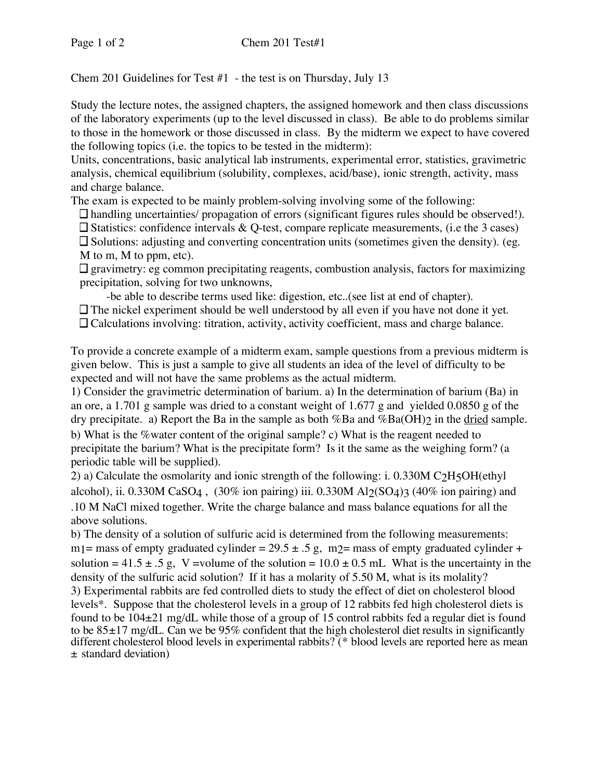Chem 201 Guidelines for Test  $#1$  - the test is on Thursday, July 13

Study the lecture notes, the assigned chapters, the assigned homework and then class discussions of the laboratory experiments (up to the level discussed in class). Be able to do problems similar to those in the homework or those discussed in class. By the midterm we expect to have covered the following topics (i.e. the topics to be tested in the midterm):

Units, concentrations, basic analytical lab instruments, experimental error, statistics, gravimetric analysis, chemical equilibrium (solubility, complexes, acid/base), ionic strength, activity, mass and charge balance.

The exam is expected to be mainly problem-solving involving some of the following:

handling uncertainties/ propagation of errors (significant figures rules should be observed!).

 $\square$  Statistics: confidence intervals & Q-test, compare replicate measurements, (i.e the 3 cases)

 $\square$  Solutions: adjusting and converting concentration units (sometimes given the density). (eg. M to m, M to ppm, etc).

 $\square$  gravimetry: eg common precipitating reagents, combustion analysis, factors for maximizing precipitation, solving for two unknowns,

-be able to describe terms used like: digestion, etc..(see list at end of chapter).

 $\Box$  The nickel experiment should be well understood by all even if you have not done it yet.

Calculations involving: titration, activity, activity coefficient, mass and charge balance.

To provide a concrete example of a midterm exam, sample questions from a previous midterm is given below. This is just a sample to give all students an idea of the level of difficulty to be expected and will not have the same problems as the actual midterm.

1) Consider the gravimetric determination of barium. a) In the determination of barium (Ba) in an ore, a 1.701 g sample was dried to a constant weight of 1.677 g and yielded 0.0850 g of the dry precipitate. a) Report the Ba in the sample as both %Ba and %Ba(OH)? in the dried sample. b) What is the %water content of the original sample? c) What is the reagent needed to precipitate the barium? What is the precipitate form? Is it the same as the weighing form? (a periodic table will be supplied).

2) a) Calculate the osmolarity and ionic strength of the following: i. 0.330M C2H5OH(ethyl alcohol), ii. 0.330M CaSO4,  $(30\%$  ion pairing) iii. 0.330M Al2(SO4)3 (40% ion pairing) and .10 M NaCl mixed together. Write the charge balance and mass balance equations for all the above solutions.

b) The density of a solution of sulfuric acid is determined from the following measurements: m<sub>1</sub> = mass of empty graduated cylinder =  $29.5 \pm .5$  g, m<sub>2</sub> = mass of empty graduated cylinder + solution =  $41.5 \pm .5$  g, V =volume of the solution =  $10.0 \pm 0.5$  mL What is the uncertainty in the density of the sulfuric acid solution? If it has a molarity of 5.50 M, what is its molality? 3) Experimental rabbits are fed controlled diets to study the effect of diet on cholesterol blood levels\*. Suppose that the cholesterol levels in a group of 12 rabbits fed high cholesterol diets is found to be 104±21 mg/dL while those of a group of 15 control rabbits fed a regular diet is found to be  $85\pm17$  mg/dL. Can we be  $95\%$  confident that the high cholesterol diet results in significantly different cholesterol blood levels in experimental rabbits? (\* blood levels are reported here as mean ± standard deviation)